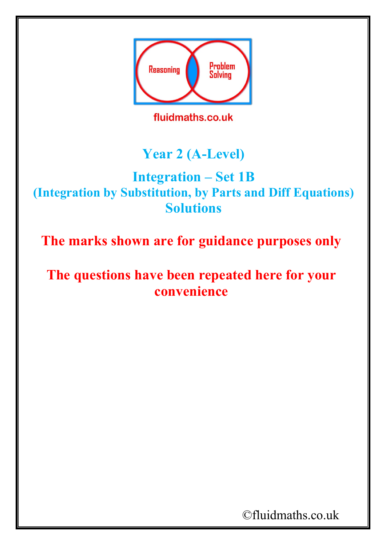

## **Year 2 (A-Level)**

## **Integration – Set 1B (Integration by Substitution, by Parts and Diff Equations) Solutions**

**The marks shown are for guidance purposes only**

## **The questions have been repeated here for your convenience**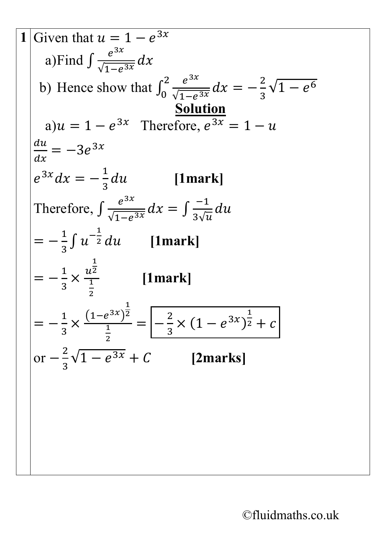Given that  $u = 1 - e^{3x}$ a)Find  $\int \frac{e^{3x}}{\sqrt{1-e}}$  $\sqrt{1-e^{3x}}$  $dx$ b) Hence show that  $\int_0^2 \frac{e^{3x}}{\sqrt{1-e^x}}$  $\sqrt{1-e^{3x}}$  $dx = -\frac{2}{3}$ 3  $\int_0^2 \frac{e^{3x}}{\sqrt{1-e^{3x}}} dx = -\frac{2}{3}\sqrt{1-e^{6x}}$ **Solution** a)  $u = 1 - e^{3x}$  Therefore,  $e^{3x} = 1 - u$ <u>аи</u>  $\boldsymbol{d}$  $=-3e^{3x}$  $e^{3x}dx = -\frac{1}{3}$ 3 **[1mark]** Therefore,  $\int \frac{e^{3x}}{\sqrt{1-e}}$  $\sqrt{1-e^{3x}}$  $dx = \int \frac{-1}{3\sqrt{t}}$  $\frac{d}{3\sqrt{u}}$  $=-\frac{1}{3}\int u^{-\frac{1}{2}}$  $\overline{2}$  *du* [1mark]  $=-\frac{1}{3}$ 3 ×  $\overline{1}$ 2 1 2 **[1mark]**  $=-\frac{1}{3}$ 3  $\times \frac{(1-e^{3x})}{1}$  $\overline{1}$ 2  $\overline{\phantom{1}}$ 2  $=$  $\left| -\frac{2}{3} \right|$ 3  $\times (1 - e^{3x})$  $\overline{\mathsf{1}}$  $2 + C$ or  $-\frac{2}{3}$ 3  $\sqrt{1-e^{3x}+C}$  [2marks]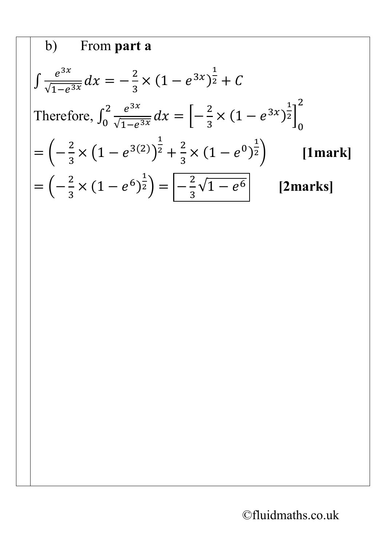b) From part a  
\n
$$
\int \frac{e^{3x}}{\sqrt{1-e^{3x}}} dx = -\frac{2}{3} \times (1-e^{3x})^{\frac{1}{2}} + C
$$
\nTherefore, 
$$
\int_0^2 \frac{e^{3x}}{\sqrt{1-e^{3x}}} dx = \left[-\frac{2}{3} \times (1-e^{3x})^{\frac{1}{2}}\right]_0^2
$$
\n
$$
= \left(-\frac{2}{3} \times (1-e^{3(2)})^{\frac{1}{2}} + \frac{2}{3} \times (1-e^{0})^{\frac{1}{2}}\right) \qquad \text{[1mark]}
$$
\n
$$
= \left(-\frac{2}{3} \times (1-e^{6})^{\frac{1}{2}}\right) = \left[-\frac{2}{3} \sqrt{1-e^{6}}\right] \qquad \text{[2marks]}
$$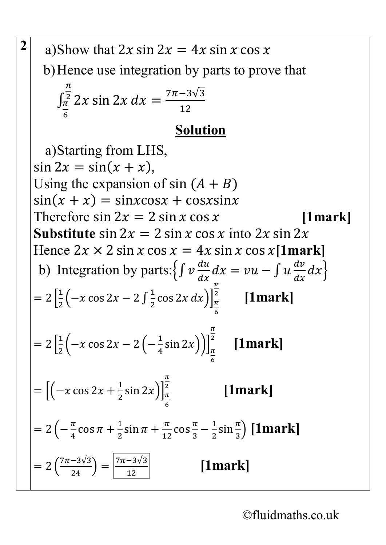a) Show that 
$$
2x \sin 2x = 4x \sin x \cos x
$$
  
\nb) Hence use integration by parts to prove that  
\n
$$
\int_{\frac{\pi}{6}}^{\frac{\pi}{2}} 2x \sin 2x \, dx = \frac{7\pi - 3\sqrt{3}}{12}
$$
\nSolution  
\na) Starting from LHS,  
\n $\sin 2x = \sin(x + x)$ ,  
\nUsing the expansion of sin  $(A + B)$   
\n $\sin(x + x) = \sin x \cos x + \cos x \sin x$   
\nTherefore sin  $2x = 2 \sin x \cos x$  into  $2x \sin 2x$   
\nHence  $2x \times 2 \sin x \cos x = 4x \sin x \cos x$  [1mark]  
\nb) Integration by parts:  $\{ \int v \frac{du}{dx} dx = vu - \int u \frac{dv}{dx} dx \}$   
\n $= 2 \left[ \frac{1}{2} \left( -x \cos 2x - 2 \int \frac{1}{2} \cos 2x \, dx \right) \right]_{\frac{\pi}{6}}^{\frac{\pi}{2}}$  [1mark]  
\n $= 2 \left[ \frac{1}{2} \left( -x \cos 2x - 2 \left( -\frac{1}{4} \sin 2x \right) \right) \right]_{\frac{\pi}{6}}^{\frac{\pi}{2}}$  [1mark]  
\n $= \left[ \left( -x \cos 2x + \frac{1}{2} \sin 2x \right) \right]_{\frac{\pi}{6}}^{\frac{\pi}{2}}$  [1mark]  
\n $= 2 \left( -\frac{\pi}{4} \cos \pi + \frac{1}{2} \sin \pi + \frac{\pi}{12} \cos \frac{\pi}{3} - \frac{1}{2} \sin \frac{\pi}{3} \right)$  [1mark]  
\n $= 2 \left( \frac{7\pi - 3\sqrt{3}}{24} \right) = \frac{7\pi - 3\sqrt{3}}{12}$  [1mark]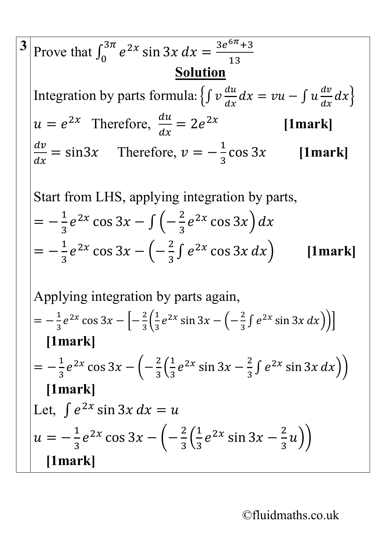3 Prove that 
$$
\int_0^{3\pi} e^{2x} \sin 3x \, dx = \frac{3e^{6\pi}+3}{13}
$$
  
\nIntegration by parts formula:  $\{ \int v \frac{du}{dx} dx = vu - \int u \frac{dv}{dx} dx \}$   
\n $u = e^{2x}$  Therefore,  $\frac{du}{dx} = 2e^{2x}$  [1mark]  
\n $\frac{dv}{dx} = \sin 3x$  Therefore,  $v = -\frac{1}{3} \cos 3x$  [1mark]  
\nStart from LHS, applying integration by parts,  
\n $= -\frac{1}{3}e^{2x} \cos 3x - \int \left( -\frac{2}{3} e^{2x} \cos 3x \right) dx$   
\n $= -\frac{1}{3}e^{2x} \cos 3x - \left( -\frac{2}{3} \int e^{2x} \cos 3x \, dx \right)$  [1mark]  
\nApplying integration by parts again,  
\n $= -\frac{1}{3}e^{2x} \cos 3x - \left[ -\frac{2}{3} \left( \frac{1}{3} e^{2x} \sin 3x - \left( -\frac{2}{3} \int e^{2x} \sin 3x \, dx \right) \right) \right]$   
\n[1mark]  
\n $= -\frac{1}{3}e^{2x} \cos 3x - \left( -\frac{2}{3} \left( \frac{1}{3} e^{2x} \sin 3x - \frac{2}{3} \int e^{2x} \sin 3x \, dx \right) \right)$   
\n[1mark]  
\nLet,  $\int e^{2x} \sin 3x \, dx = u$   
\n $u = -\frac{1}{3}e^{2x} \cos 3x - \left( -\frac{2}{3} \left( \frac{1}{3} e^{2x} \sin 3x - \frac{2}{3} u \right) \right)$   
\n[1mark]  
\n[1mark]  
\n[1mark]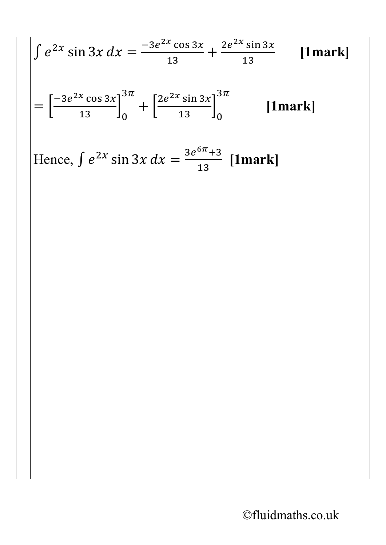$$
\int e^{2x} \sin 3x \, dx = \frac{-3e^{2x} \cos 3x}{13} + \frac{2e^{2x} \sin 3x}{13} \quad \text{[1mark]}
$$
  
=  $\left[ \frac{-3e^{2x} \cos 3x}{13} \right]_0^{3\pi} + \left[ \frac{2e^{2x} \sin 3x}{13} \right]_0^{3\pi} \quad \text{[1mark]}$   
Hence,  $\int e^{2x} \sin 3x \, dx = \frac{3e^{6\pi} + 3}{13} \quad \text{[1mark]}$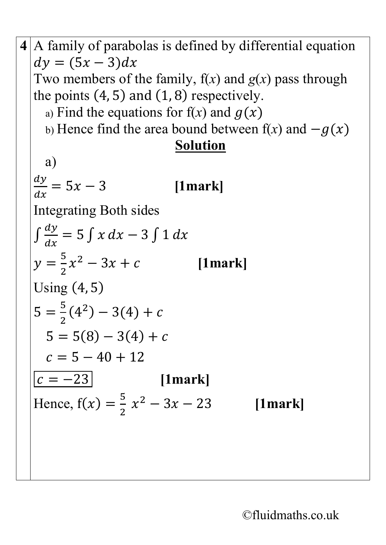4 A family of parabolas is defined by differential equation  
\n
$$
dy = (5x - 3)dx
$$
  
\nTwo members of the family, f(x) and g(x) pass through  
\nthe points (4, 5) and (1, 8) respectively.  
\na) Find the equations for f(x) and g(x)  
\nb) Hence find the area bound between f(x) and  $-g(x)$   
\n(a)  
\n
$$
\frac{dy}{dx} = 5x - 3
$$
 [1mark]  
\nIntegrating Both sides  
\n
$$
\int \frac{dy}{dx} = 5 \int x dx - 3 \int 1 dx
$$
\n
$$
y = \frac{5}{2}x^2 - 3x + c
$$
 [1mark]  
\nUsing (4, 5)  
\n
$$
5 = \frac{5}{2}(4^2) - 3(4) + c
$$
\n
$$
5 = 5(8) - 3(4) + c
$$
\n
$$
c = 5 - 40 + 12
$$
\n[1mark]  
\nHence, f(x) =  $\frac{5}{2}x^2 - 3x - 23$  [1mark]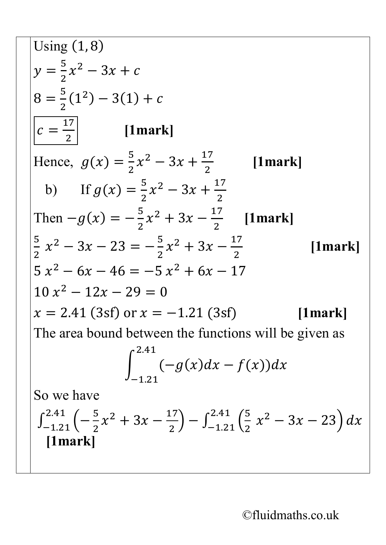Using (1, 8)  
\n
$$
y = \frac{5}{2}x^2 - 3x + c
$$
\n
$$
8 = \frac{5}{2}(1^2) - 3(1) + c
$$
\n
$$
c = \frac{17}{2}
$$
\n[1mark]  
\nHence,  $g(x) = \frac{5}{2}x^2 - 3x + \frac{17}{2}$  [1mark]  
\nb) If  $g(x) = \frac{5}{2}x^2 - 3x + \frac{17}{2}$   
\nThen  $-g(x) = -\frac{5}{2}x^2 + 3x - \frac{17}{2}$  [1mark]  
\n
$$
\frac{5}{2}x^2 - 3x - 23 = -\frac{5}{2}x^2 + 3x - \frac{17}{2}
$$
 [1mark]  
\n $5x^2 - 6x - 46 = -5x^2 + 6x - 17$   
\n $10x^2 - 12x - 29 = 0$   
\n $x = 2.41$  (3sf) or  $x = -1.21$  (3sf) [1mark]  
\nThe area bound between the functions will be given as  
\n
$$
\int_{-1.21}^{2.41} (-g(x)dx - f(x))dx
$$
\nSo we have  
\n
$$
\int_{-1.21}^{2.41} (-\frac{5}{2}x^2 + 3x - \frac{17}{2}) - \int_{-1.21}^{2.41} (\frac{5}{2}x^2 - 3x - 23) dx
$$
\n[1mark]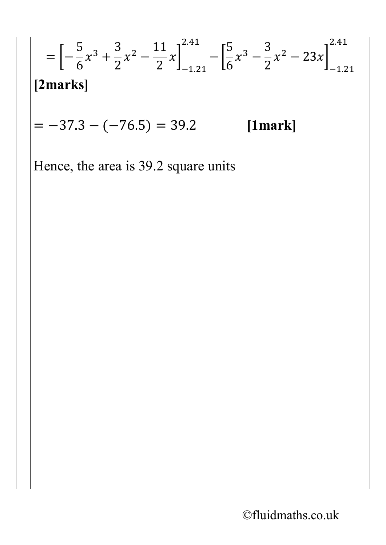$$
= \left[ -\frac{5}{6}x^3 + \frac{3}{2}x^2 - \frac{11}{2}x \right]_{-1.21}^{2.41} - \left[ \frac{5}{6}x^3 - \frac{3}{2}x^2 - 23x \right]_{-1.21}^{2.41}
$$
  
\n[2marks]  
\n= -37.3 - (-76.5) = 39.2 [1mark]  
\nHence, the area is 39.2 square units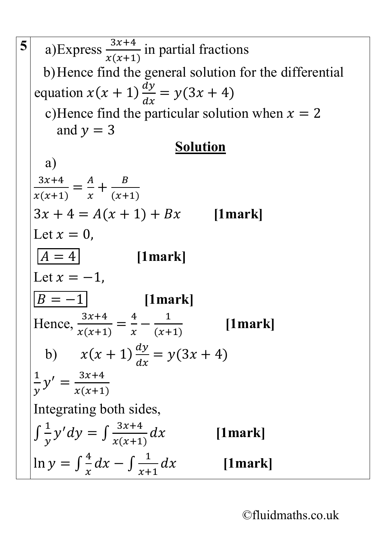**5** a) Express  $\frac{3x+4}{x(x+1)}$  in partial fractions b)Hence find the general solution for the differential equation  $x(x + 1) \frac{dy}{dx} = y(3x + 4)$  $\boldsymbol{d}$ c)Hence find the particular solution when  $x = 2$ and  $y = 3$ **Solution** a)  $3x+4$  $x(x+1)$ =  $\frac{A}{1}$  $\chi$  $+\frac{B}{(x+1)}$  $3x + 4 = A(x + 1) + Bx$  [1mark] Let  $x = 0$ ,  $\overline{A = 4}$  [1mark] Let  $x = -1$ ,  $\boxed{B = -1}$  [1mark] Hence,  $\frac{3x+4}{x(x+1)}$  $x(x+1)$ =  $\frac{4}{x} - \frac{1}{(x+1)}$  **[1mark]** b)  $x(x + 1)\frac{dy}{dx}$  $\boldsymbol{d}$  $= y(3x + 4)$  $\frac{1}{\nu}$ =  $3x+4$  $x(x+1)$ Integrating both sides,  $\int \frac{1}{y} y' dy = \int \frac{3x+4}{x(x+1)}$  **[1mark]**  $\ln y = \int \frac{4}{x} dx - \int \frac{1}{x+1}$ **[1mark]**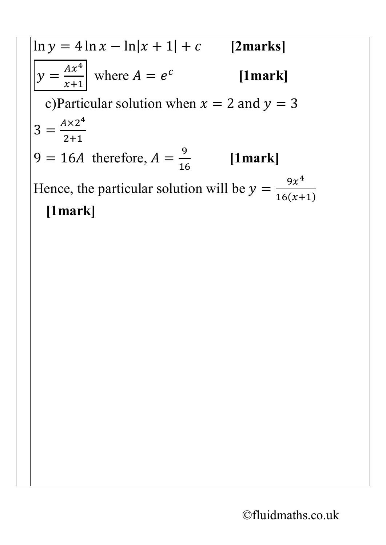